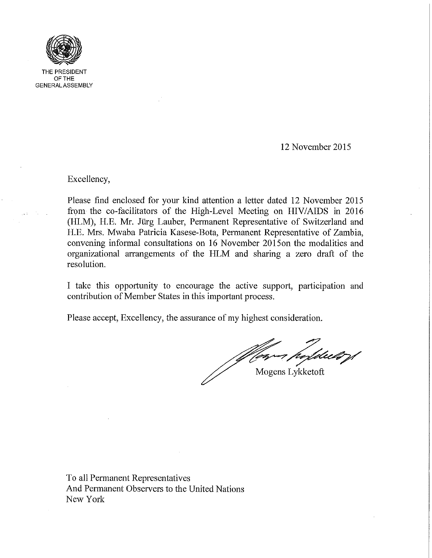

THE PRESIDENT OFTHE GENERAL ASSEMBLY

12 November 2015

Excellency,

Please find enclosed for your kind attention a letter dated 12 November 2015 from the co-facilitators of the High-Level Meeting on HIViAIDS in 2016 (HLM), H.E. Mr. Jürg Lauber, Permanent Representative of Switzerland and H.E. Mrs. Mwaba Patricia Kasese-Bota, Permanent Representative of Zambia, convening informal consultations on 16 November 20l50n the modalities and organizational arrangements of the HLM and sharing a zero draft of the resolution.

I take this opportunity to encourage the active support, participation and contribution of Member States in this important process.

Please accept, Excellency, the assurance of my highest consideration.

Mogens Lykketoft

To all Permanent Representatives And Permanent Observers to the United Nations New York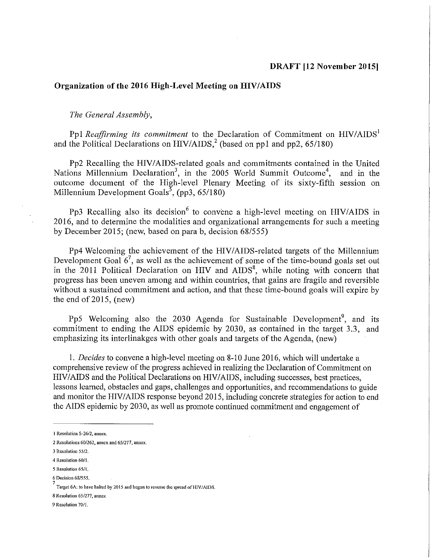## Organization of the 2016 High-Level Meeting on HIV/AIDS

*The General Assembly,* 

Pp1 *Reaffirming its commitment* to the Declaration of Commitment on HIV/AIDS<sup>1</sup> and the Political Declarations on  $HIV/ALDS<sup>2</sup>$  (based on pp1 and pp2, 65/180)

Pp2 Recalling the HIV/AIDS-related goals and commitments contained in the United Nations Millennium Declaration<sup>3</sup>, in the 2005 World Summit Outcome<sup>4</sup>, and in the outcome document of the High-level Plenary Meeting of its sixty-fifth session on Millennium Development Goals<sup>5</sup>, (pp3, 65/180)

Pp3 Recalling also its decision  $6$  to convene a high-level meeting on HIV/AIDS in 2016, and to determine the modalities and organizational arrangements for such a meeting by December 2015; (new, based on para b, decision 68/555)

Pp4 Welcoming the achievement of the HIV/AIDS-related targets of the Millennium Development Goal  $6^7$ , as well as the achievement of some of the time-bound goals set out in the 2011 Political Declaration on HIV and  $\overline{AIDS}^8$ , while noting with concern that progress has been uneven among and within countries, that gains are fragile and reversible without a sustained commitment and action, and that these time-bound goals will expire by the end of  $2015$ , (new)

Pp5 Welcoming also the 2030 Agenda for Sustainable Development<sup>9</sup>, and its commitment to ending the AIDS epidemic by 2030, as contained in the target 3.3, and emphasizing its interlinakges with other goals and targets of the Agenda, (new)

1. *Decides* to convene a high-level meeting on 8-10 June 2016, which will undertake a comprehensive review of the progress achieved in realizing the Declaration of Commitment on HIV/AIDS and the Political Declarations on HIV/AIDS, including successes, best practices, lessons learned, obstacles and gaps, challenges and opportunities, and recommendations to guide and monitor the HIV/AIDS response beyond 2015, including concrete strategies for action to end the AIDS epidemic by 2030, as well as promote continued commitment and engagement of

<sup>1</sup> Resolution S-26/2, annex.

<sup>2</sup> Resolutions *60/262,* annex and *65/277,* annex.

<sup>3</sup> Resolution 55/2,

<sup>4</sup> Resolution 60/1.

<sup>5</sup> Resolution 65/1.

<sup>6</sup> Decision 68/555. 7

Target 6A: to have halted by 2015 and begun to reverse the spread of HIV/AIDS.

<sup>8</sup> Resolution *651277,* annex

<sup>9</sup> Resolution *70/1.*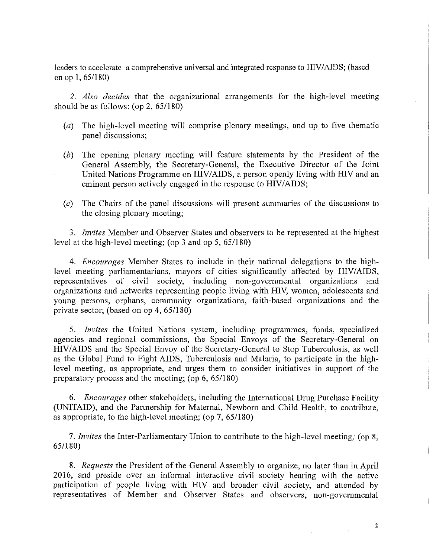leaders to accelerate a comprehensive universal and integrated response to HIV/AIDS; (based on op **1,** 65/180)

*2. Also decides* that the organizational arrangements for the high-level meeting should be as follows: (op  $2,65/180$ )

- (a) The high-level meeting will comprise plenary meetings, and up to five thematic panel discussions;
- (b) The opening plenary meeting will feature statements by the President of the General Assembly, the Secretary-General, the Executive Director of the Joint United Nations Programme on HIV/AIDS, a person openly living with HIV and an eminent person actively engaged in the response to HIV/AIDS;
- *(c)* The Chairs of the panel discussions will present summaries of the discussions to the closing plenary meeting;

*3. Invites* Member and Observer States and observers to be represented at the highest level at the high-level meeting; (op 3 and op 5, 651180)

*4. Encourages* Member States to include in their national delegations to the highlevel meeting parliamentarians, mayors of cities significantly affected by HIV/AIDS, representatives of civil society, including non-governmental organizations and organizations and networks representing people living with HIV, women, adolescents and young persons, orphans, community organizations, faith-based organizations and the private sector; (based on op 4, 65/180)

*5. Invites* the United Nations system, including programmes, funds, specialized agencies and regional commissions, the Special Envoys of the Secretary-General on HIV/AIDS and the Special Envoy of the Secretary-General to Stop Tuberculosis, as well as the Global Fund to Fight AIDS, Tuberculosis and Malaria, to participate in the highlevel meeting, as appropriate, and urges them to consider initiatives in support of the preparatory process and the meeting; (op  $6, 65/180$ )

*6. Encourages* other stakeholders, including the International Drug Purchase Facility (UNITAID), and the Partnership for Maternal, Newborn and Child Health, to contribute, as appropriate, to the high-level meeting; (op 7, 651180)

*7. Invites* the Inter-Parliamentary Union to contribute to the high-level meeting; (op 8, 65/180)

*8. Requests* the President of the General Assembly to organize, no later than in April 2016, and preside over an informal interactive civil society hearing with the active participation of people living with HIV and broader civil society, and attended by representatives of Member and Observer States and observers, non-governmental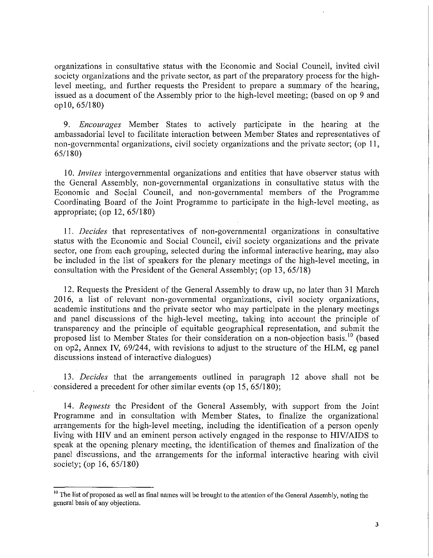organizations in consultative status with the Economic and Social Council, invited civil society organizations and the private sector, as part of the preparatory process for the highlevel meeting, and further requests the President to prepare a summary of the hearing, issued as a document of the Assembly prior to the high-level meeting; (based on op 9 and op 10, 65/180)

*9. Encourages* Member States to actively participate in the hearing at the ambassadorial level to facilitate interaction between Member States and representatives of non-governmental organizations, civil society organizations and the private sector; (op 11, 65/180)

*10. Invites* intergovernmental organizations and entities that have observer status with the General Assembly, non-governmental organizations in consultative status with the Economic and Social Council, and non-governmental members of the Programme Coordinating Board of the Joint Programme to participate in the high-level meeting, as appropriate; (op 12, 65/180)

II. *Decides* that representatives of non-governmental organizations in consultative status with the Economic and Social Council, civil society organizations and the private sector, one from each grouping, selected during the informal interactive hearing, may also be included in the list of speakers for the plenary meetings of the high-level meeting, in consultation with the President of the General Assembly; (op 13,65/18)

12. Requests the President of the General Assembly to draw up, no later than 31 March 2016, a list of relevant non-governmental organizations, civil society organizations, academic institutions and the private sector who may participate in the plenary meetings and panel discussions of the high-level meeting, taking into account the principle of transparency and the principle of equitable geographical representation, and submit the proposed list to Member States for their consideration on a non-objection basis.<sup>10</sup> (based on op2, Annex IV, *691244,* with revisions to adjust to the structure of the ELM, eg panel discussions instead of interactive dialogues)

*13. Decides* that the arrangements outlined in paragraph 12 above shall not be . considered a precedent for other similar events (op 15,65/180);

*14. Requests* the President of the General Assembly, with support from the Joint Programme and in consultation with Member States, to finalize the organizational arrangements for the high-level meeting, including the identification of a person openly living with HIV and an eminent person actively engaged in the response to HIV/AIDS to speak at the opening plenary meeting, the identification of themes and finalization of the panel discussions, and the arrangements for the informal interactive hearing with civil society; (op 16, 65/180)

<sup>&</sup>lt;sup>10</sup> The list of proposed as well as final names will be brought to the attention of the General Assembly, noting the general basis of any objections.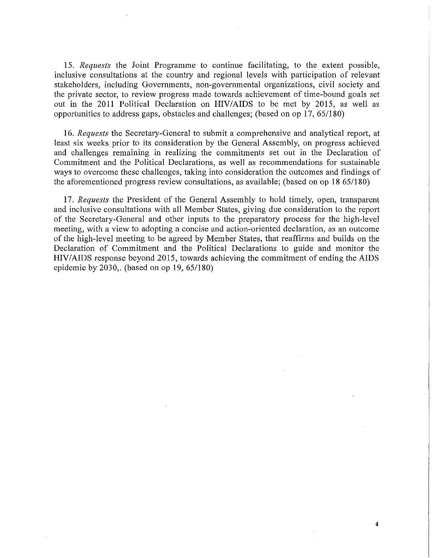*15. Requests* the Joint Programme to continue facilitating, to the extent possible, inclusive consultations at the country and regional levels with participation of relevant stakeholders, including Governments, non-governmental organizations, civil society and the private sector, to review progress made towards achievement of time-bound goals set out in the 2011 Political Declaration on HIV/AIDS to be met by 2015, as well as opportunities to address gaps, obstacles and challenges; (based on op 17, *65/180)* 

*16. Requests* the Secretary-General to submit a comprehensive and analytical report, at least six weeks prior to its consideration by the General Assembly, on progress achieved and challenges remaining in realizing the commitments set out in the Declaration of Commitment and the Political Declarations, as well as recommendations for sustainable ways to overcome these challenges, taking into consideration the outcomes and findings of the aforementioned progress review consultations, as available; (based on op  $1865/180$ )

*17. Requests* the President of the General Assembly to hold timely, open, transparent and inclusive consultations with all Member States, giving due consideration to the report of the Secretary-General and other inputs to the preparatory process for the high-level meeting, with a view to adopting a concise and action-oriented declaration, as an outcome of the high-level meeting to be agreed by Member States, that reaffirms and builds on the Declaration of Commitment and the Political Declarations to guide and monitor the HIV/AIDS response beyond 2015, towards achieving the commitment of ending the AIDS epidemic by  $2030$ .. (based on op 19, 65/180)

4